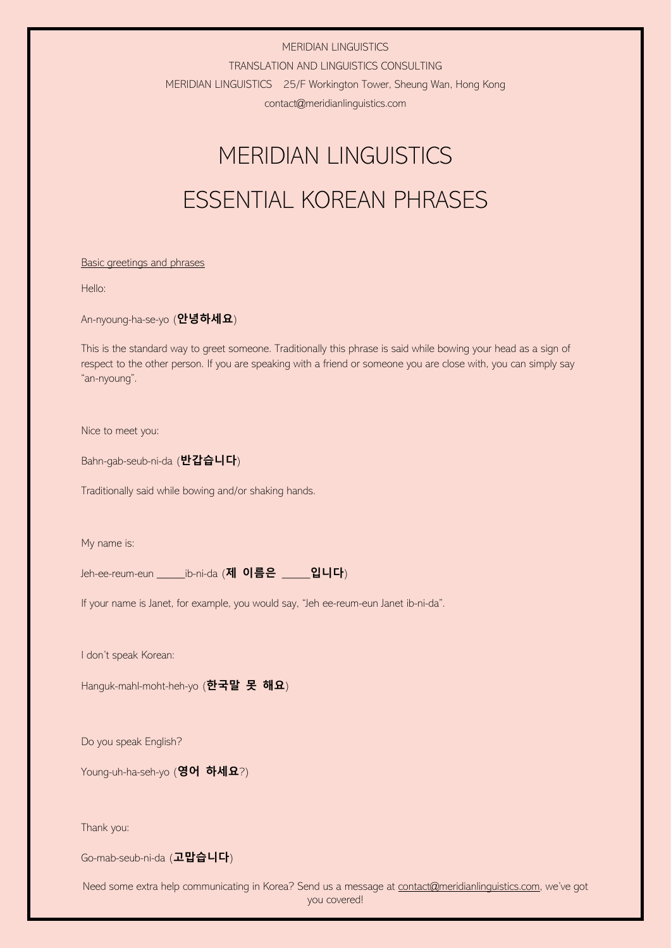TRANSLATION AND LINGUISTICS CONSULTING

MERIDIAN LINGUISTICS 25/F Workington Tower, Sheung Wan, Hong Kong

contact@meridianlinguistics.com

# MERIDIAN LINGUISTICS ESSENTIAL KOREAN PHRASES

## Basic greetings and phrases

Hello:

An-nyoung-ha-se-yo (**안녕하세요**)

This is the standard way to greet someone. Traditionally this phrase is said while bowing your head as a sign of respect to the other person. If you are speaking with a friend or someone you are close with, you can simply say "an-nyoung".

Nice to meet you:

Bahn-gab-seub-ni-da (**반갑습니다**)

Traditionally said while bowing and/or shaking hands.

My name is:

Jeh-ee-reum-eun \_\_\_\_\_ib-ni-da (**제 이름은** \_\_\_\_\_**입니다**)

If your name is Janet, for example, you would say, "Jeh ee-reum-eun Janet ib-ni-da".

I don't speak Korean:

Hanguk-mahl-moht-heh-yo (**한국말 못 해요**)

Do you speak English?

Young-uh-ha-seh-yo (**영어 하세요**?)

Thank you:

Go-mab-seub-ni-da (**고맙습니다**)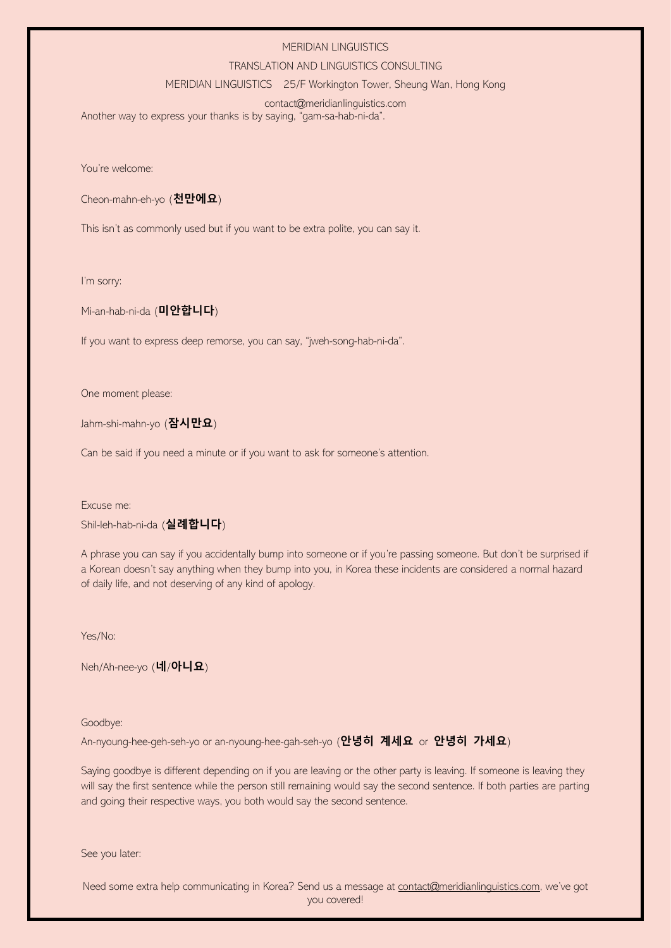#### TRANSLATION AND LINGUISTICS CONSULTING

MERIDIAN LINGUISTICS 25/F Workington Tower, Sheung Wan, Hong Kong

# contact@meridianlinguistics.com

Another way to express your thanks is by saying, "gam-sa-hab-ni-da".

You're welcome:

Cheon-mahn-eh-yo (**천만에요**)

This isn't as commonly used but if you want to be extra polite, you can say it.

I'm sorry:

Mi-an-hab-ni-da (**미안합니다**)

If you want to express deep remorse, you can say, "jweh-song-hab-ni-da".

One moment please:

Jahm-shi-mahn-yo (**잠시만요**)

Can be said if you need a minute or if you want to ask for someone's attention.

Excuse me:

Shil-leh-hab-ni-da (**실례합니다**)

A phrase you can say if you accidentally bump into someone or if you're passing someone. But don't be surprised if a Korean doesn't say anything when they bump into you, in Korea these incidents are considered a normal hazard of daily life, and not deserving of any kind of apology.

Yes/No:

Neh/Ah-nee-yo (**네**/**아니요**)

Goodbye:

An-nyoung-hee-geh-seh-yo or an-nyoung-hee-gah-seh-yo (**안녕히 계세요** or **안녕히 가세요**)

Saying goodbye is different depending on if you are leaving or the other party is leaving. If someone is leaving they will say the first sentence while the person still remaining would say the second sentence. If both parties are parting and going their respective ways, you both would say the second sentence.

See you later: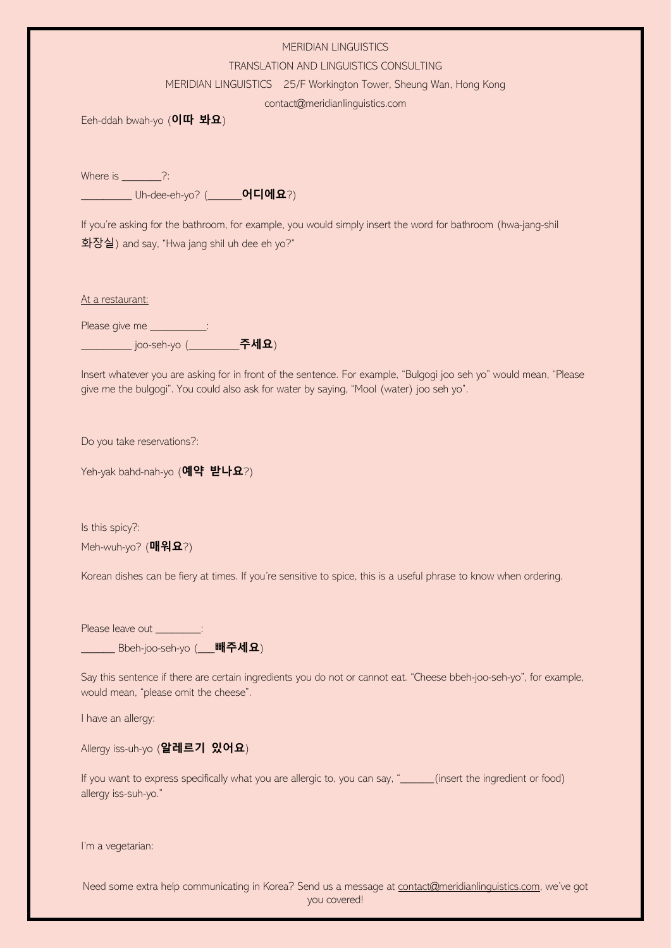#### TRANSLATION AND LINGUISTICS CONSULTING

MERIDIAN LINGUISTICS 25/F Workington Tower, Sheung Wan, Hong Kong

contact@meridianlinguistics.com

Eeh-ddah bwah-yo (**이따 봐요**)

Where is  $\frac{?}{?}$ \_\_\_\_\_\_\_\_\_ Uh-dee-eh-yo? (\_\_\_\_\_\_**어디에요**?)

If you're asking for the bathroom, for example, you would simply insert the word for bathroom (hwa-jang-shil 화장실) and say, "Hwa jang shil uh dee eh yo?"

At a restaurant:

Please give me \_\_\_\_\_\_\_\_\_\_\_: \_\_\_\_\_\_\_\_\_ joo-seh-yo (\_\_\_\_\_\_\_\_\_**주세요**)

Insert whatever you are asking for in front of the sentence. For example, "Bulgogi joo seh yo" would mean, "Please give me the bulgogi". You could also ask for water by saying, "Mool (water) joo seh yo".

Do you take reservations?:

Yeh-yak bahd-nah-yo (**예약 받나요**?)

Is this spicy?: Meh-wuh-yo? (**매워요**?)

Korean dishes can be fiery at times. If you're sensitive to spice, this is a useful phrase to know when ordering.

Please leave out  $\qquad \qquad :$ \_\_\_\_\_\_ Bbeh-joo-seh-yo (\_\_\_**빼주세요**)

Say this sentence if there are certain ingredients you do not or cannot eat. "Cheese bbeh-joo-seh-yo", for example, would mean, "please omit the cheese".

I have an allergy:

Allergy iss-uh-yo (**알레르기 있어요**)

If you want to express specifically what you are allergic to, you can say, "\_\_\_\_\_\_(insert the ingredient or food) allergy iss-suh-yo."

I'm a vegetarian: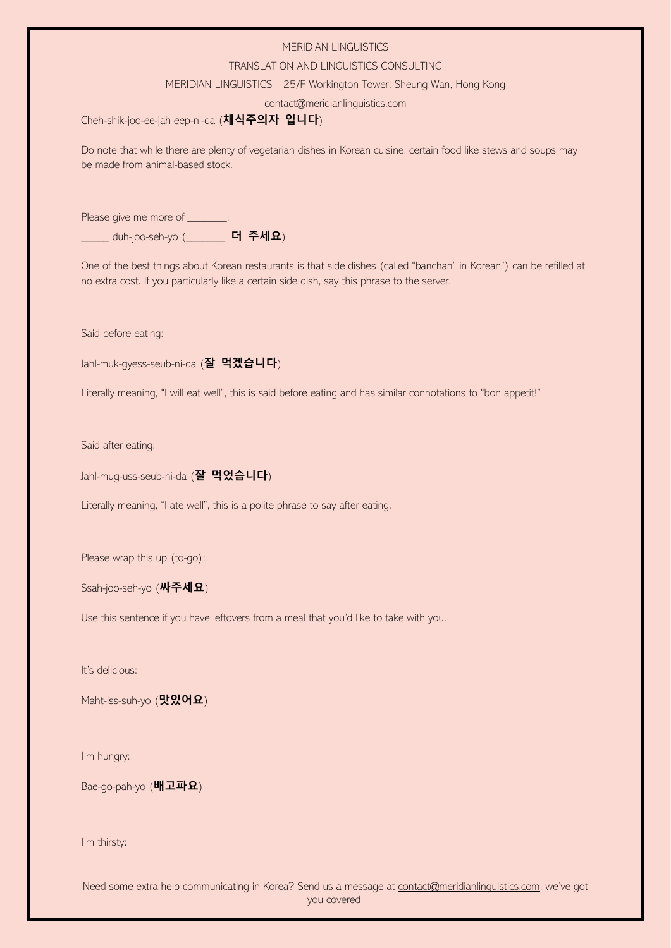### TRANSLATION AND LINGUISTICS CONSULTING

MERIDIAN LINGUISTICS 25/F Workington Tower, Sheung Wan, Hong Kong

contact@meridianlinguistics.com

Cheh-shik-joo-ee-jah eep-ni-da (**채식주의자 입니다**)

Do note that while there are plenty of vegetarian dishes in Korean cuisine, certain food like stews and soups may be made from animal-based stock.

Please give me more of \_\_\_\_\_\_ \_\_\_\_\_ duh-joo-seh-yo (\_\_\_\_\_\_\_ **더 주세요**)

One of the best things about Korean restaurants is that side dishes (called "banchan" in Korean") can be refilled at no extra cost. If you particularly like a certain side dish, say this phrase to the server.

Said before eating:

Jahl-muk-gyess-seub-ni-da (**잘 먹겠습니다**)

Literally meaning, "I will eat well", this is said before eating and has similar connotations to "bon appetit!"

Said after eating:

Jahl-mug-uss-seub-ni-da (**잘 먹었습니다**)

Literally meaning, "I ate well", this is a polite phrase to say after eating.

Please wrap this up (to-go):

Ssah-joo-seh-yo (**싸주세요**)

Use this sentence if you have leftovers from a meal that you'd like to take with you.

It's delicious:

Maht-iss-suh-yo (**맛있어요**)

I'm hungry:

Bae-go-pah-yo (**배고파요**)

I'm thirsty: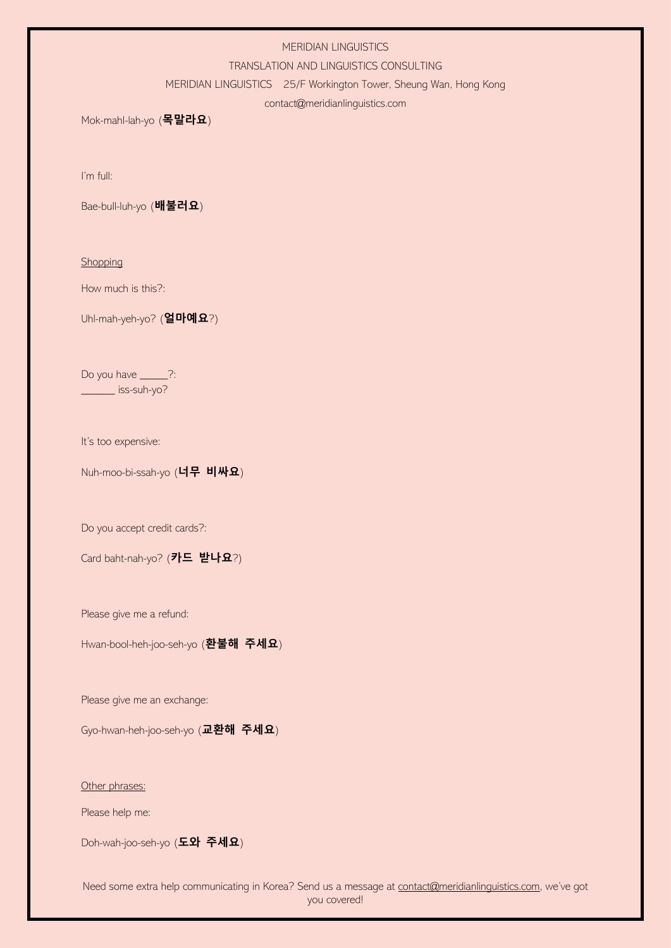#### TRANSLATION AND LINGUISTICS CONSULTING

MERIDIAN LINGUISTICS 25/F Workington Tower, Sheung Wan, Hong Kong

contact@meridianlinguistics.com

Mok-mahl-lah-yo (**목말라요**)

I'm full:

Bae-bull-luh-yo (**배불러요**)

**Shopping** 

How much is this?:

Uhl-mah-yeh-yo? (**얼마예요**?)

Do you have \_\_\_\_\_?: \_\_\_\_\_\_ iss-suh-yo?

It's too expensive:

Nuh-moo-bi-ssah-yo (**너무 비싸요**)

Do you accept credit cards?:

Card baht-nah-yo? (**카드 받나요**?)

Please give me a refund:

Hwan-bool-heh-joo-seh-yo (**환불해 주세요**)

Please give me an exchange:

Gyo-hwan-heh-joo-seh-yo (**교환해 주세요**)

Other phrases:

Please help me:

Doh-wah-joo-seh-yo (**도와 주세요**)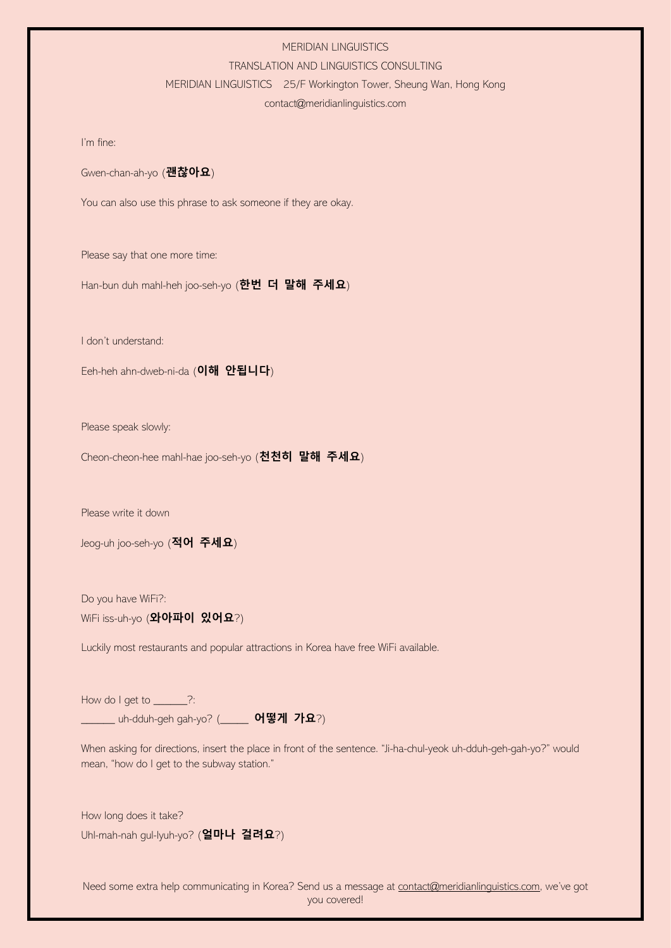#### TRANSLATION AND LINGUISTICS CONSULTING

#### MERIDIAN LINGUISTICS 25/F Workington Tower, Sheung Wan, Hong Kong

# contact@meridianlinguistics.com

I'm fine:

Gwen-chan-ah-yo (**괜찮아요**)

You can also use this phrase to ask someone if they are okay.

Please say that one more time:

Han-bun duh mahl-heh joo-seh-yo (**한번 더 말해 주세요**)

I don't understand:

Eeh-heh ahn-dweb-ni-da (**이해 안됩니다**)

Please speak slowly:

Cheon-cheon-hee mahl-hae joo-seh-yo (**천천히 말해 주세요**)

Please write it down

Jeog-uh joo-seh-yo (**적어 주세요**)

Do you have WiFi?: WiFi iss-uh-yo (**와아파이 있어요**?)

Luckily most restaurants and popular attractions in Korea have free WiFi available.

How do I get to \_\_\_\_\_\_?: \_\_\_\_\_\_ uh-dduh-geh gah-yo? (\_\_\_\_\_ **어떻게 가요**?)

When asking for directions, insert the place in front of the sentence. "Ji-ha-chul-yeok uh-dduh-geh-gah-yo?" would mean, "how do I get to the subway station."

How long does it take? Uhl-mah-nah gul-lyuh-yo? (**얼마나 걸려요**?)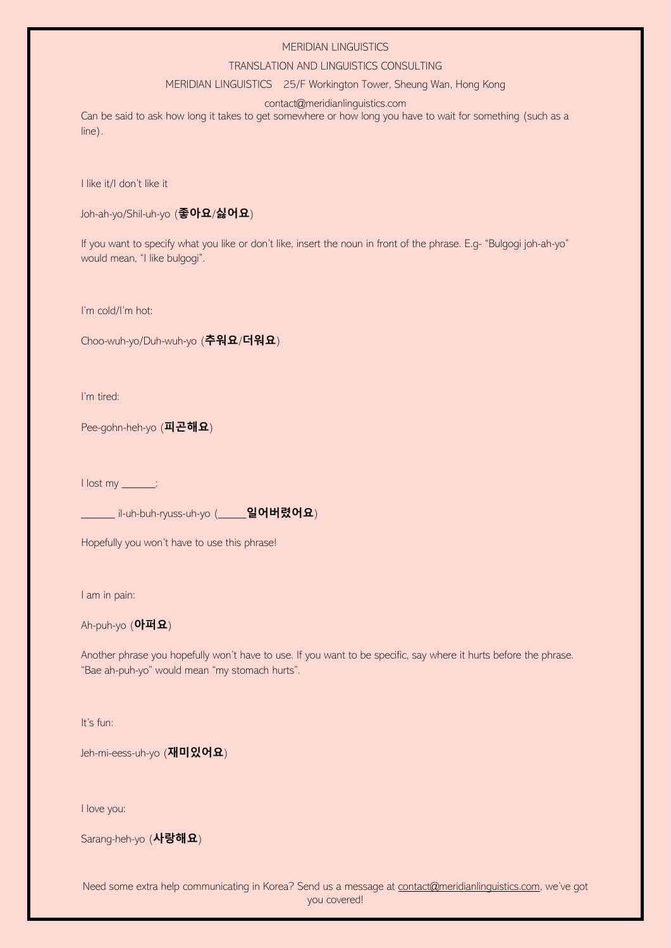## TRANSLATION AND LINGUISTICS CONSULTING

#### MERIDIAN LINGUISTICS 25/F Workington Tower, Sheung Wan, Hong Kong

contact@meridianlinguistics.com

Can be said to ask how long it takes to get somewhere or how long you have to wait for something (such as a line).

I like it/I don't like it

```
Joh-ah-yo/Shil-uh-yo (좋아요/싫어요)
```
If you want to specify what you like or don't like, insert the noun in front of the phrase. E.g- "Bulgogi joh-ah-yo" would mean, "I like bulgogi".

I'm cold/I'm hot:

Choo-wuh-yo/Duh-wuh-yo (**추워요**/**더워요**)

I'm tired:

Pee-gohn-heh-yo (**피곤해요**)

I lost my \_\_\_\_\_\_:

\_\_\_\_\_\_ il-uh-buh-ryuss-uh-yo (\_\_\_\_\_**일어버렸어요**)

Hopefully you won't have to use this phrase!

I am in pain:

Ah-puh-yo (**아퍼요**)

Another phrase you hopefully won't have to use. If you want to be specific, say where it hurts before the phrase. "Bae ah-puh-yo" would mean "my stomach hurts".

It's fun:

Jeh-mi-eess-uh-yo (**재미있어요**)

I love you:

Sarang-heh-yo (**사랑해요**)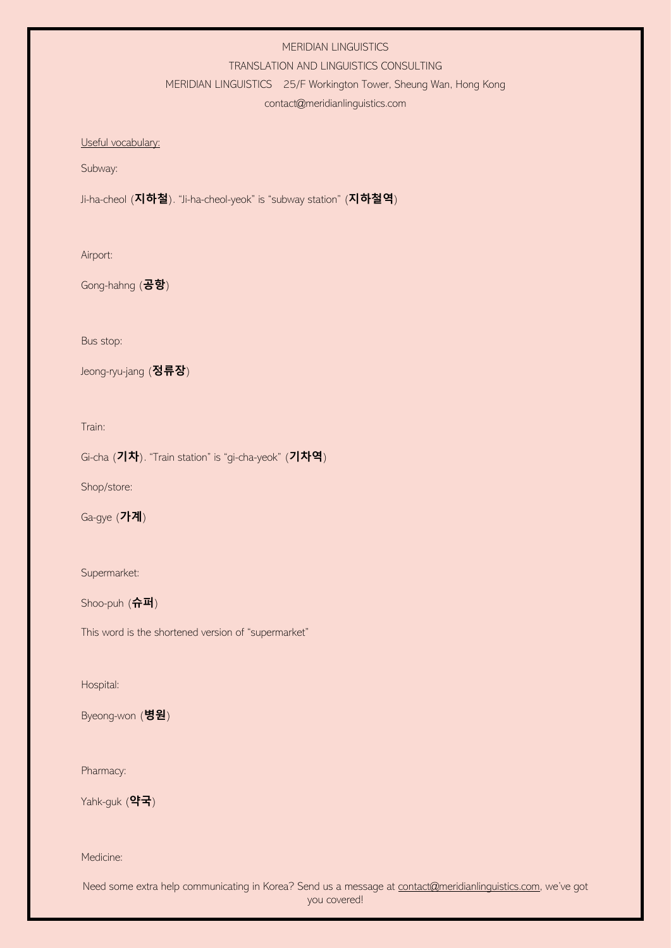#### TRANSLATION AND LINGUISTICS CONSULTING

MERIDIAN LINGUISTICS 25/F Workington Tower, Sheung Wan, Hong Kong

contact@meridianlinguistics.com

Useful vocabulary:

Subway:

Ji-ha-cheol (**지하철**). "Ji-ha-cheol-yeok" is "subway station" (**지하철역**)

Airport:

Gong-hahng (**공항**)

Bus stop:

Jeong-ryu-jang (**정류장**)

Train:

Gi-cha (**기차**). "Train station" is "gi-cha-yeok" (**기차역**)

Shop/store:

Ga-gye (**가계**)

Supermarket:

Shoo-puh (**슈퍼**)

This word is the shortened version of "supermarket"

Hospital:

Byeong-won (**병원**)

Pharmacy:

Yahk-guk (**약국**)

Medicine: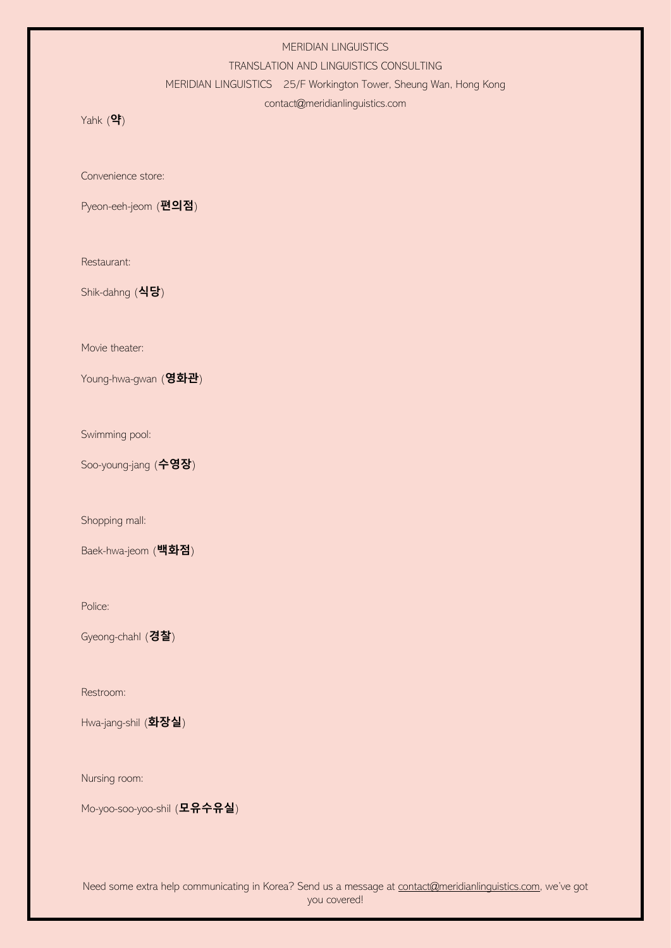#### TRANSLATION AND LINGUISTICS CONSULTING

MERIDIAN LINGUISTICS 25/F Workington Tower, Sheung Wan, Hong Kong

## contact@meridianlinguistics.com

Yahk (**약**)

Convenience store:

Pyeon-eeh-jeom (**편의점**)

Restaurant:

Shik-dahng (**식당**)

Movie theater:

Young-hwa-gwan (**영화관**)

Swimming pool:

Soo-young-jang (**수영장**)

Shopping mall:

Baek-hwa-jeom (**백화점**)

Police:

Gyeong-chahl (**경찰**)

Restroom:

Hwa-jang-shil (**화장실**)

Nursing room:

Mo-yoo-soo-yoo-shil (**모유수유실**)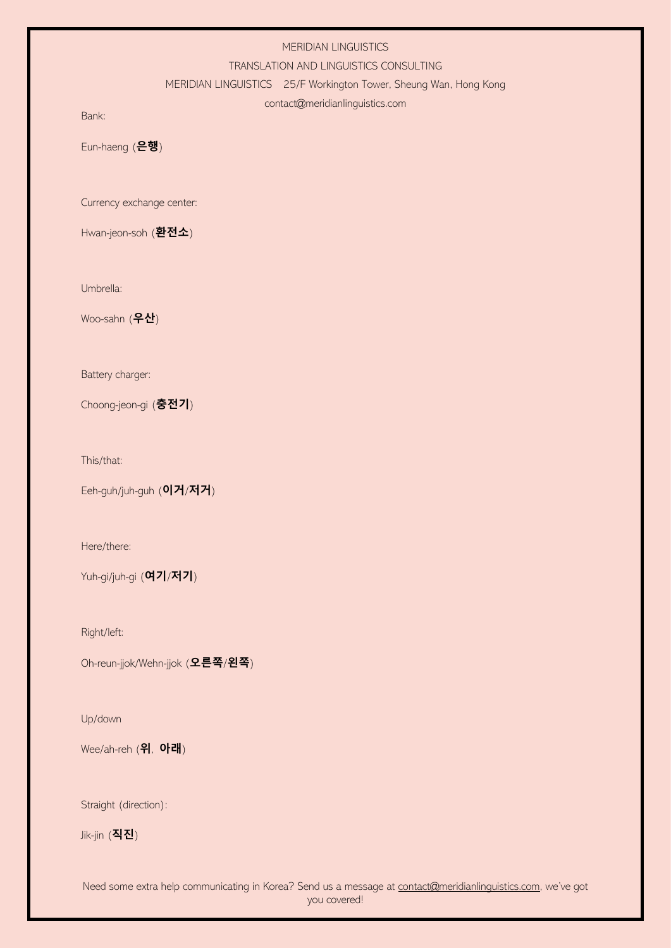#### TRANSLATION AND LINGUISTICS CONSULTING

MERIDIAN LINGUISTICS 25/F Workington Tower, Sheung Wan, Hong Kong

## contact@meridianlinguistics.com

Bank:

Eun-haeng (**은행**)

Currency exchange center:

Hwan-jeon-soh (**환전소**)

Umbrella:

Woo-sahn (**우산**)

Battery charger:

Choong-jeon-gi (**충전기**)

This/that:

Eeh-guh/juh-guh (**이거**/**저거**)

Here/there:

Yuh-gi/juh-gi (**여기**/**저기**)

Right/left:

Oh-reun-jjok/Wehn-jjok (**오른쪽**/**왼쪽**)

Up/down

Wee/ah-reh (**위**, **아래**)

Straight (direction):

Jik-jin (**직진**)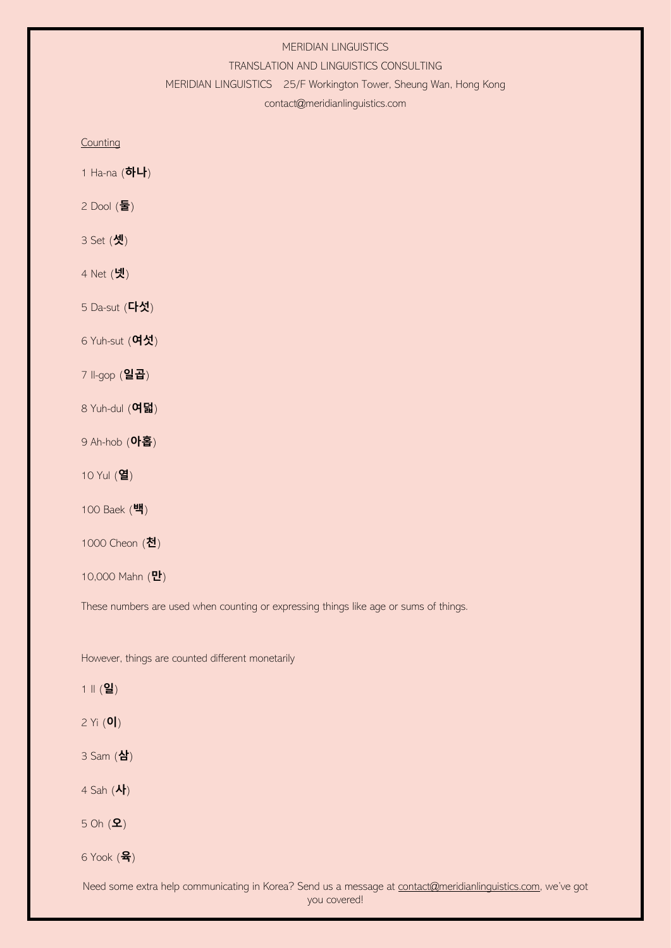#### TRANSLATION AND LINGUISTICS CONSULTING

MERIDIAN LINGUISTICS 25/F Workington Tower, Sheung Wan, Hong Kong

contact@meridianlinguistics.com

**Counting** 

- 1 Ha-na (**하나**)
- 2 Dool (**둘**)
- 3 Set (**셋**)
- 4 Net (**넷**)
- 5 Da-sut (**다섯**)
- 6 Yuh-sut (**여섯**)
- 7 Il-gop (**일곱**)
- 8 Yuh-dul (**여덟**)
- 9 Ah-hob (**아홉**)
- 10 Yul (**열**)
- 100 Baek (**백**)
- 1000 Cheon (**천**)
- 10,000 Mahn (**만**)

These numbers are used when counting or expressing things like age or sums of things.

However, things are counted different monetarily

1 Il (**일**)

2 Yi (**이**)

3 Sam (**삼**)

4 Sah (**사**)

5 Oh (**오**)

6 Yook (**육**)